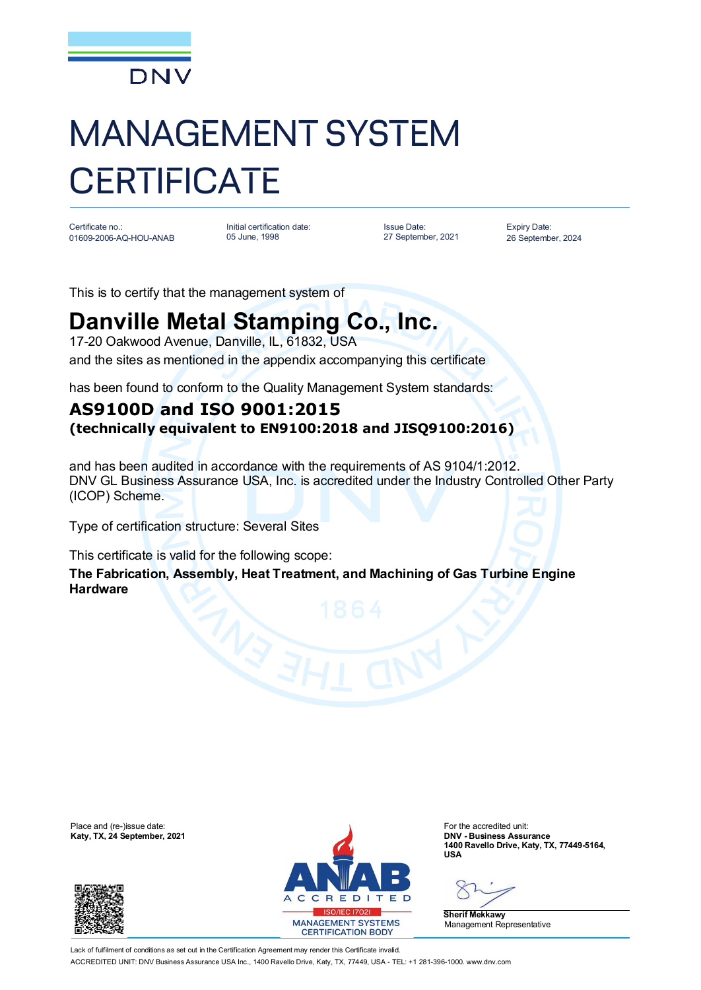

## MANAGEMENT SYSTEM **CERTIFICATE**

Certificate no.: 01609-2006-AQ-HOU-ANAB

Initial certification date: 05 June, 1998

Issue Date: 27 September, 2021 Expiry Date: 26 September, 2024

This is to certify that the management system of

## **Danville Metal Stamping Co., Inc.**

17-20 Oakwood Avenue, Danville, IL, 61832, USA and the sites as mentioned in the appendix accompanying this certificate

has been found to conform to the Quality Management System standards:

## **AS9100D and ISO 9001:2015 (technically equivalent to EN9100:2018 and JISQ9100:2016)**

and has been audited in accordance with the requirements of AS 9104/1:2012. DNV GL Business Assurance USA, Inc. is accredited under the Industry Controlled Other Party (ICOP) Scheme.

Type of certification structure: Several Sites

This certificate is valid for the following scope:

**The Fabrication, Assembly, Heat Treatment, and Machining of Gas Turbine Engine Hardware**





**1400 Ravello Drive, Katy, TX, 77449-5164, USA**

**Sherif Mekkawy** Management Representative

Lack of fulfilment of conditions as set out in the Certification Agreement may render this Certificate invalid ACCREDITED UNIT: DNV Business Assurance USA Inc., 1400 Ravello Drive, Katy, TX, 77449, USA - TEL: +1 281-396-1000. www.dnv.com